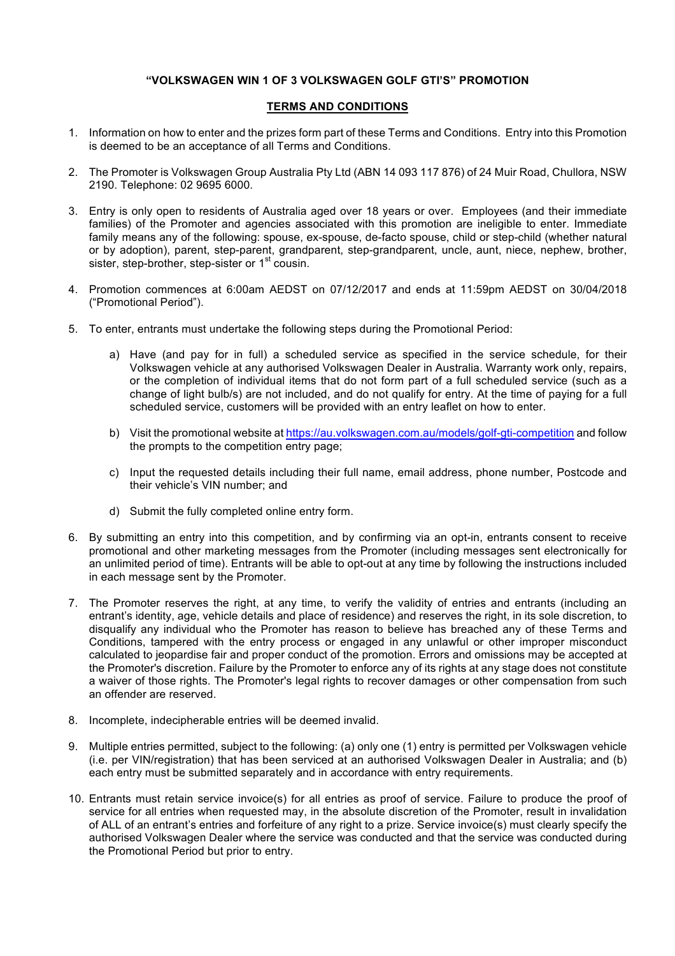## **"VOLKSWAGEN WIN 1 OF 3 VOLKSWAGEN GOLF GTI'S" PROMOTION**

## **TERMS AND CONDITIONS**

- 1. Information on how to enter and the prizes form part of these Terms and Conditions. Entry into this Promotion is deemed to be an acceptance of all Terms and Conditions.
- 2. The Promoter is Volkswagen Group Australia Pty Ltd (ABN 14 093 117 876) of 24 Muir Road, Chullora, NSW 2190. Telephone: 02 9695 6000.
- 3. Entry is only open to residents of Australia aged over 18 years or over. Employees (and their immediate families) of the Promoter and agencies associated with this promotion are ineligible to enter. Immediate family means any of the following: spouse, ex-spouse, de-facto spouse, child or step-child (whether natural or by adoption), parent, step-parent, grandparent, step-grandparent, uncle, aunt, niece, nephew, brother, sister, step-brother, step-sister or 1<sup>st</sup> cousin.
- 4. Promotion commences at 6:00am AEDST on 07/12/2017 and ends at 11:59pm AEDST on 30/04/2018 ("Promotional Period").
- 5. To enter, entrants must undertake the following steps during the Promotional Period:
	- a) Have (and pay for in full) a scheduled service as specified in the service schedule, for their Volkswagen vehicle at any authorised Volkswagen Dealer in Australia. Warranty work only, repairs, or the completion of individual items that do not form part of a full scheduled service (such as a change of light bulb/s) are not included, and do not qualify for entry. At the time of paying for a full scheduled service, customers will be provided with an entry leaflet on how to enter.
	- b) Visit the promotional website at https://au.volkswagen.com.au/models/golf-gti-competition and follow the prompts to the competition entry page;
	- c) Input the requested details including their full name, email address, phone number, Postcode and their vehicle's VIN number; and
	- d) Submit the fully completed online entry form.
- 6. By submitting an entry into this competition, and by confirming via an opt-in, entrants consent to receive promotional and other marketing messages from the Promoter (including messages sent electronically for an unlimited period of time). Entrants will be able to opt-out at any time by following the instructions included in each message sent by the Promoter.
- 7. The Promoter reserves the right, at any time, to verify the validity of entries and entrants (including an entrant's identity, age, vehicle details and place of residence) and reserves the right, in its sole discretion, to disqualify any individual who the Promoter has reason to believe has breached any of these Terms and Conditions, tampered with the entry process or engaged in any unlawful or other improper misconduct calculated to jeopardise fair and proper conduct of the promotion. Errors and omissions may be accepted at the Promoter's discretion. Failure by the Promoter to enforce any of its rights at any stage does not constitute a waiver of those rights. The Promoter's legal rights to recover damages or other compensation from such an offender are reserved.
- 8. Incomplete, indecipherable entries will be deemed invalid.
- 9. Multiple entries permitted, subject to the following: (a) only one (1) entry is permitted per Volkswagen vehicle (i.e. per VIN/registration) that has been serviced at an authorised Volkswagen Dealer in Australia; and (b) each entry must be submitted separately and in accordance with entry requirements.
- 10. Entrants must retain service invoice(s) for all entries as proof of service. Failure to produce the proof of service for all entries when requested may, in the absolute discretion of the Promoter, result in invalidation of ALL of an entrant's entries and forfeiture of any right to a prize. Service invoice(s) must clearly specify the authorised Volkswagen Dealer where the service was conducted and that the service was conducted during the Promotional Period but prior to entry.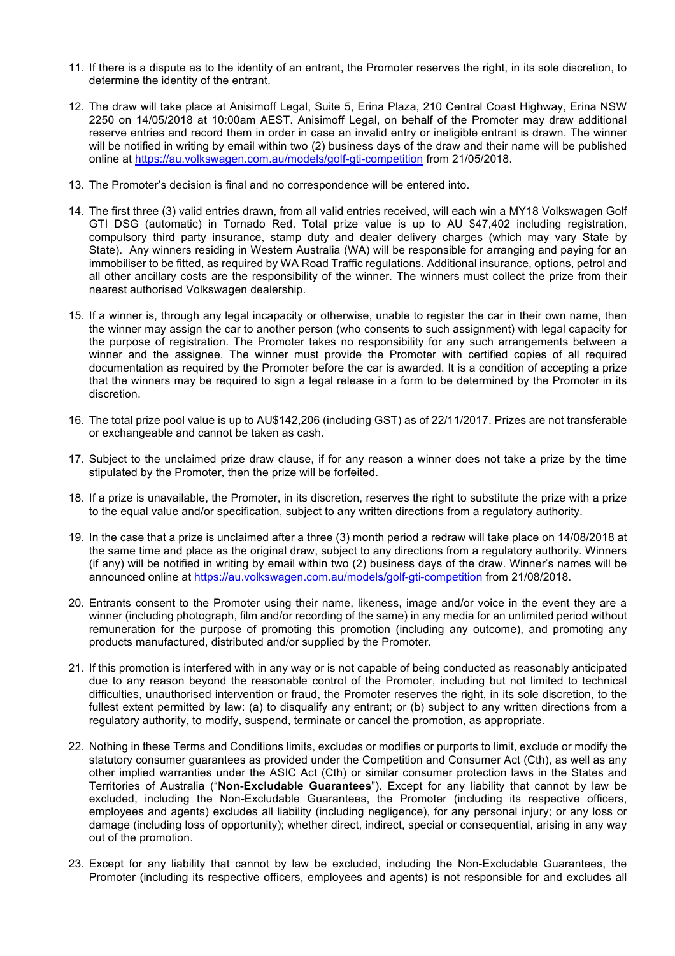- 11. If there is a dispute as to the identity of an entrant, the Promoter reserves the right, in its sole discretion, to determine the identity of the entrant.
- 12. The draw will take place at Anisimoff Legal, Suite 5, Erina Plaza, 210 Central Coast Highway, Erina NSW 2250 on 14/05/2018 at 10:00am AEST. Anisimoff Legal, on behalf of the Promoter may draw additional reserve entries and record them in order in case an invalid entry or ineligible entrant is drawn. The winner will be notified in writing by email within two (2) business days of the draw and their name will be published online at https://au.volkswagen.com.au/models/golf-gti-competition from 21/05/2018.
- 13. The Promoter's decision is final and no correspondence will be entered into.
- 14. The first three (3) valid entries drawn, from all valid entries received, will each win a MY18 Volkswagen Golf GTI DSG (automatic) in Tornado Red. Total prize value is up to AU \$47,402 including registration, compulsory third party insurance, stamp duty and dealer delivery charges (which may vary State by State). Any winners residing in Western Australia (WA) will be responsible for arranging and paying for an immobiliser to be fitted, as required by WA Road Traffic regulations. Additional insurance, options, petrol and all other ancillary costs are the responsibility of the winner. The winners must collect the prize from their nearest authorised Volkswagen dealership.
- 15. If a winner is, through any legal incapacity or otherwise, unable to register the car in their own name, then the winner may assign the car to another person (who consents to such assignment) with legal capacity for the purpose of registration. The Promoter takes no responsibility for any such arrangements between a winner and the assignee. The winner must provide the Promoter with certified copies of all required documentation as required by the Promoter before the car is awarded. It is a condition of accepting a prize that the winners may be required to sign a legal release in a form to be determined by the Promoter in its discretion.
- 16. The total prize pool value is up to AU\$142,206 (including GST) as of 22/11/2017. Prizes are not transferable or exchangeable and cannot be taken as cash.
- 17. Subject to the unclaimed prize draw clause, if for any reason a winner does not take a prize by the time stipulated by the Promoter, then the prize will be forfeited.
- 18. If a prize is unavailable, the Promoter, in its discretion, reserves the right to substitute the prize with a prize to the equal value and/or specification, subject to any written directions from a regulatory authority.
- 19. In the case that a prize is unclaimed after a three (3) month period a redraw will take place on 14/08/2018 at the same time and place as the original draw, subject to any directions from a regulatory authority. Winners (if any) will be notified in writing by email within two (2) business days of the draw. Winner's names will be announced online at https://au.volkswagen.com.au/models/golf-gti-competition from 21/08/2018.
- 20. Entrants consent to the Promoter using their name, likeness, image and/or voice in the event they are a winner (including photograph, film and/or recording of the same) in any media for an unlimited period without remuneration for the purpose of promoting this promotion (including any outcome), and promoting any products manufactured, distributed and/or supplied by the Promoter.
- 21. If this promotion is interfered with in any way or is not capable of being conducted as reasonably anticipated due to any reason beyond the reasonable control of the Promoter, including but not limited to technical difficulties, unauthorised intervention or fraud, the Promoter reserves the right, in its sole discretion, to the fullest extent permitted by law: (a) to disqualify any entrant; or (b) subject to any written directions from a regulatory authority, to modify, suspend, terminate or cancel the promotion, as appropriate.
- 22. Nothing in these Terms and Conditions limits, excludes or modifies or purports to limit, exclude or modify the statutory consumer guarantees as provided under the Competition and Consumer Act (Cth), as well as any other implied warranties under the ASIC Act (Cth) or similar consumer protection laws in the States and Territories of Australia ("**Non-Excludable Guarantees**"). Except for any liability that cannot by law be excluded, including the Non-Excludable Guarantees, the Promoter (including its respective officers, employees and agents) excludes all liability (including negligence), for any personal injury; or any loss or damage (including loss of opportunity); whether direct, indirect, special or consequential, arising in any way out of the promotion.
- 23. Except for any liability that cannot by law be excluded, including the Non-Excludable Guarantees, the Promoter (including its respective officers, employees and agents) is not responsible for and excludes all